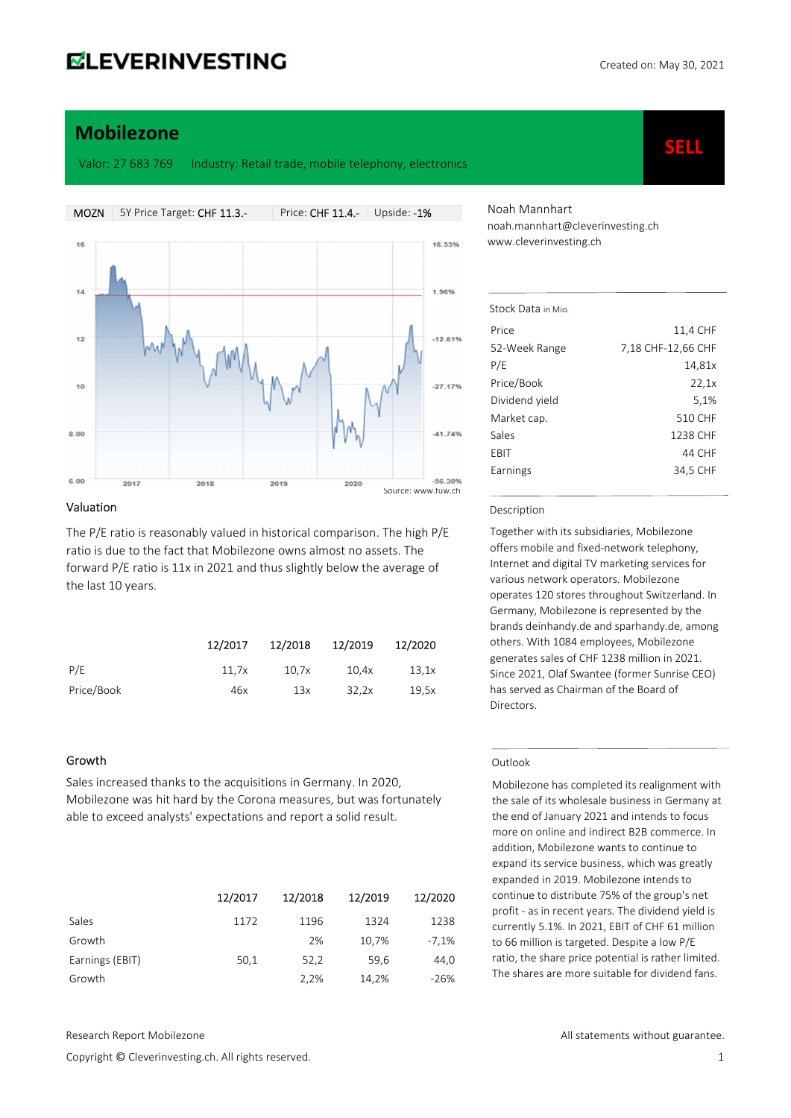SELL

# Mobilezone

Valor: 27 683 769 Industry: Retail trade, mobile telephony, electronics

MOZN 5Y Price Target: CHF 11.3.- Price: CHF 11.4.- Upside: -1% 16 16.53% 1.96%  $12$  $-12.61%$ 10  $-27.17%$ 41 74%  $8.00$ 6.00 -56.30%  $2017$  $2018$ 2019  $2020$ Source: www.fuw.ch

#### Valuation

The P/E ratio is reasonably valued in historical comparison. The high P/E ratio is due to the fact that Mobilezone owns almost no assets. The forward P/E ratio is 11x in 2021 and thus slightly below the average of the last 10 years.

|            | 12/2017 | 12/2018 | 12/2019 | 12/2020 |
|------------|---------|---------|---------|---------|
| P/E        | 11.7x   | 10.7x   | 10.4x   | 13.1x   |
| Price/Book | 46x     | 13x     | 32.2x   | 19.5x   |

#### Growth

Sales increased thanks to the acquisitions in Germany. In 2020, Mobilezone was hit hard by the Corona measures, but was fortunately able to exceed analysts' expectations and report a solid result.

|                 | 12/2017 | 12/2018 | 12/2019 | 12/2020 |
|-----------------|---------|---------|---------|---------|
| Sales           | 1172    | 1196    | 1324    | 1238    |
| Growth          |         | 2%      | 10,7%   | $-7,1%$ |
| Earnings (EBIT) | 50,1    | 52,2    | 59.6    | 44,0    |
| Growth          |         | 2,2%    | 14,2%   | $-26%$  |

Copyright © Cleverinvesting.ch. All rights reserved. 1

Noah Mannhart noah.mannhart@cleverinvesting.ch www.cleverinvesting.ch

| Stock Data in Mio. |                    |
|--------------------|--------------------|
| Price              | 11,4 CHF           |
| 52-Week Range      | 7,18 CHF-12,66 CHF |
| P/E                | 14,81x             |
| Price/Book         | 22,1x              |
| Dividend yield     | 5,1%               |
| Market cap.        | 510 CHF            |
| Sales              | 1238 CHF           |
| EBIT               | 44 CHF             |
| Earnings           | 34,5 CHF           |
|                    |                    |

#### Description

Together with its subsidiaries, Mobilezone offers mobile and fixed-network telephony, Internet and digital TV marketing services for various network operators. Mobilezone operates 120 stores throughout Switzerland. In Germany, Mobilezone is represented by the brands deinhandy.de and sparhandy.de, among others. With 1084 employees, Mobilezone generates sales of CHF 1238 million in 2021. Since 2021, Olaf Swantee (former Sunrise CEO) has served as Chairman of the Board of Directors.

#### Outlook

Mobilezone has completed its realignment with the sale of its wholesale business in Germany at the end of January 2021 and intends to focus more on online and indirect B2B commerce. In addition, Mobilezone wants to continue to expand its service business, which was greatly expanded in 2019. Mobilezone intends to continue to distribute 75% of the group's net profit - as in recent years. The dividend yield is currently 5.1%. In 2021, EBIT of CHF 61 million to 66 million is targeted. Despite a low P/E ratio, the share price potential is rather limited. The shares are more suitable for dividend fans.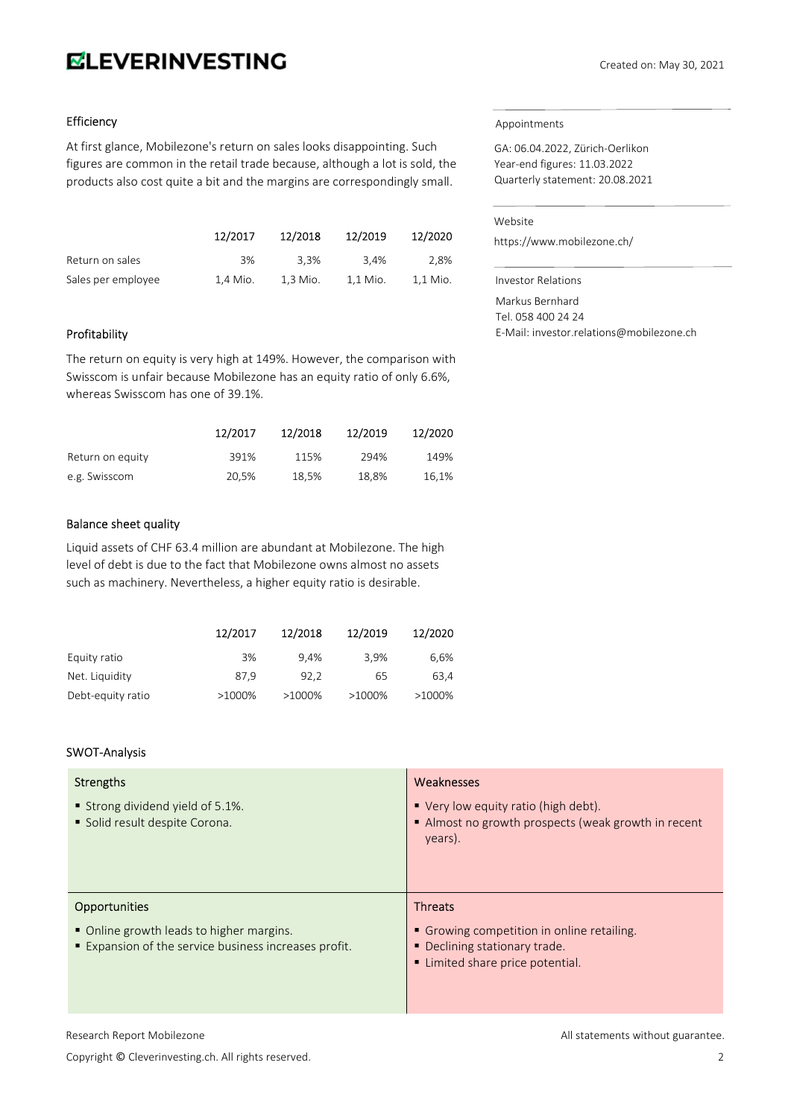# **ELEVERINVESTING**

# Efficiency

At first glance, Mobilezone's return on sales looks disappointing. Such figures are common in the retail trade because, although a lot is sold, the products also cost quite a bit and the margins are correspondingly small.

|                    | 12/2017  | 12/2018  | 12/2019  | 12/2020  |
|--------------------|----------|----------|----------|----------|
| Return on sales    | 3%       | 3.3%     | 3.4%     | 2.8%     |
| Sales per employee | 1.4 Mio. | 1.3 Mio. | 1.1 Mio. | 1.1 Mio. |

# Profitability

The return on equity is very high at 149%. However, the comparison with Swisscom is unfair because Mobilezone has an equity ratio of only 6.6%, whereas Swisscom has one of 39.1%.

|                  | 12/2017 | 12/2018 | 12/2019 | 12/2020 |
|------------------|---------|---------|---------|---------|
| Return on equity | 391%    | 115%    | 294%    | 149%    |
| e.g. Swisscom    | 20,5%   | 18.5%   | 18,8%   | 16,1%   |

### Balance sheet quality

Liquid assets of CHF 63.4 million are abundant at Mobilezone. The high level of debt is due to the fact that Mobilezone owns almost no assets such as machinery. Nevertheless, a higher equity ratio is desirable.

|                   | 12/2017 | 12/2018 | 12/2019   | 12/2020 |
|-------------------|---------|---------|-----------|---------|
| Equity ratio      | 3%      | 9.4%    | 3.9%      | 6,6%    |
| Net. Liquidity    | 87.9    | 92.2    | 65        | 63.4    |
| Debt-equity ratio | >1000%  | >1000%  | $>1000\%$ | >1000%  |

# SWOT-Analysis

| <b>Strengths</b><br>■ Strong dividend yield of 5.1%.<br>Solid result despite Corona.                                    | Weaknesses<br>■ Very low equity ratio (high debt).<br>Almost no growth prospects (weak growth in recent<br>years).              |
|-------------------------------------------------------------------------------------------------------------------------|---------------------------------------------------------------------------------------------------------------------------------|
| <b>Opportunities</b><br>• Online growth leads to higher margins.<br>Expansion of the service business increases profit. | <b>Threats</b><br>• Growing competition in online retailing.<br>• Declining stationary trade.<br>Limited share price potential. |

# Copyright © Cleverinvesting.ch. All rights reserved. 2

# Appointments

GA: 06.04.2022, Zürich-Oerlikon Year-end figures: 11.03.2022 Quarterly statement: 20.08.2021

## Website

https://www.mobilezone.ch/

Investor Relations

Markus Bernhard

Tel. 058 400 24 24 E-Mail: investor.relations@mobilezone.ch